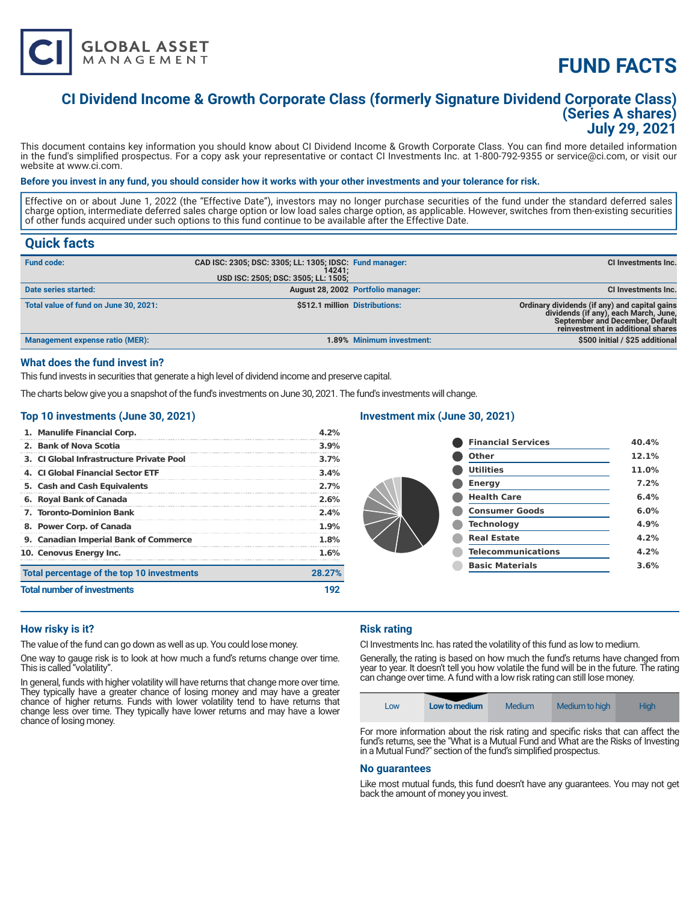

# **FUND FACTS**

# **CI Dividend Income & Growth Corporate Class (formerly Signature Dividend Corporate Class) (Series A shares) July 29, 2021**

This document contains key information you should know about CI Dividend Income & Growth Corporate Class. You can find more detailed information in the fund's simplified prospectus. For a copy ask your representative or contact CI Investments Inc. at 1-800-792-9355 or service@ci.com, or visit our website at www.ci.com.

#### **Before you invest in any fund, you should consider how it works with your other investments and your tolerance for risk.**

Effective on or about June 1, 2022 (the "Effective Date"), investors may no longer purchase securities of the fund under the standard deferred sales charge option, intermediate deferred sales charge option or low load sales charge option, as applicable. However, switches from then-existing securities of other funds acquired under such options to this fund continue to be available after the Effective Date.

# **Quick facts**

| <b>Fund code:</b>                     | CAD ISC: 2305; DSC: 3305; LL: 1305; IDSC: Fund manager:<br>14241:<br>USD ISC: 2505; DSC: 3505; LL: 1505; |                                    | CI Investments Inc.                                                                                                                                                   |
|---------------------------------------|----------------------------------------------------------------------------------------------------------|------------------------------------|-----------------------------------------------------------------------------------------------------------------------------------------------------------------------|
| Date series started:                  |                                                                                                          | August 28, 2002 Portfolio manager: | <b>CI Investments Inc.</b>                                                                                                                                            |
| Total value of fund on June 30, 2021: | \$512.1 million Distributions:                                                                           |                                    | Ordinary dividends (if any) and capital gains<br>dividends (if any), each March, June,<br><b>September and December, Default</b><br>reinvestment in additional shares |
| Management expense ratio (MER):       |                                                                                                          | 1.89% Minimum investment:          | \$500 initial / \$25 additional                                                                                                                                       |

#### **What does the fund invest in?**

This fund invests in securities that generate a high level of dividend income and preserve capital.

The charts below give you a snapshot of the fund's investments on June 30, 2021. The fund's investments will change.

### **Top 10 investments (June 30, 2021)**

| 1. Manulife Financial Corp.                | 4.2%   |
|--------------------------------------------|--------|
| 2. Bank of Nova Scotia                     | 3.9%   |
| 3. CI Global Infrastructure Private Pool   | 3.7%   |
| 4. CLGlobal Financial Sector ETF           | 3.4%   |
| 5. Cash and Cash Equivalents               | 2.7%   |
| 6. Royal Bank of Canada                    | 2.6%   |
| <b>7. Toronto-Dominion Bank</b>            | 2.4%   |
| 8. Power Corp. of Canada                   | 1.9%   |
| 9. Canadian Imperial Bank of Commerce      | 1.8%   |
| 10. Cenovus Energy Inc.                    | 1.6%   |
| Total percentage of the top 10 investments | 28.27% |
| <b>Total number of investments</b>         | 192    |

## **Investment mix (June 30, 2021)**

| <b>Financial Services</b> | 40.4% |
|---------------------------|-------|
| Other                     | 12.1% |
| <b>Utilities</b>          | 11.0% |
| <b>Energy</b>             | 7.2%  |
| <b>Health Care</b>        | 6.4%  |
| <b>Consumer Goods</b>     | 6.0%  |
| <b>Technology</b>         | 4.9%  |
| <b>Real Estate</b>        | 4.2%  |
| <b>Telecommunications</b> | 4.2%  |
| <b>Basic Materials</b>    | 3.6%  |
|                           |       |

### **How risky is it?**

The value of the fund can go down as well as up. You could lose money.

One way to gauge risk is to look at how much a fund's returns change over time. This is called "volatility".

In general, funds with higher volatility will have returns that change more over time. They typically have a greater chance of losing money and may have a greater chance of higher returns. Funds with lower volatility tend to have returns that change less over time. They typically have lower returns and may have a lower chance of losing money.

### **Risk rating**

CI Investments Inc. has rated the volatility of this fund as low to medium.

Generally, the rating is based on how much the fund's returns have changed from year to year. It doesn't tell you how volatile the fund will be in the future. The rating can change over time. A fund with a low risk rating can still lose money.



For more information about the risk rating and specific risks that can affect the fund's returns, see the "What is a Mutual Fund and What are the Risks of Investing in a Mutual Fund?" section of the fund's simplified prospectus.

#### **No guarantees**

Like most mutual funds, this fund doesn't have any guarantees. You may not get back the amount of money you invest.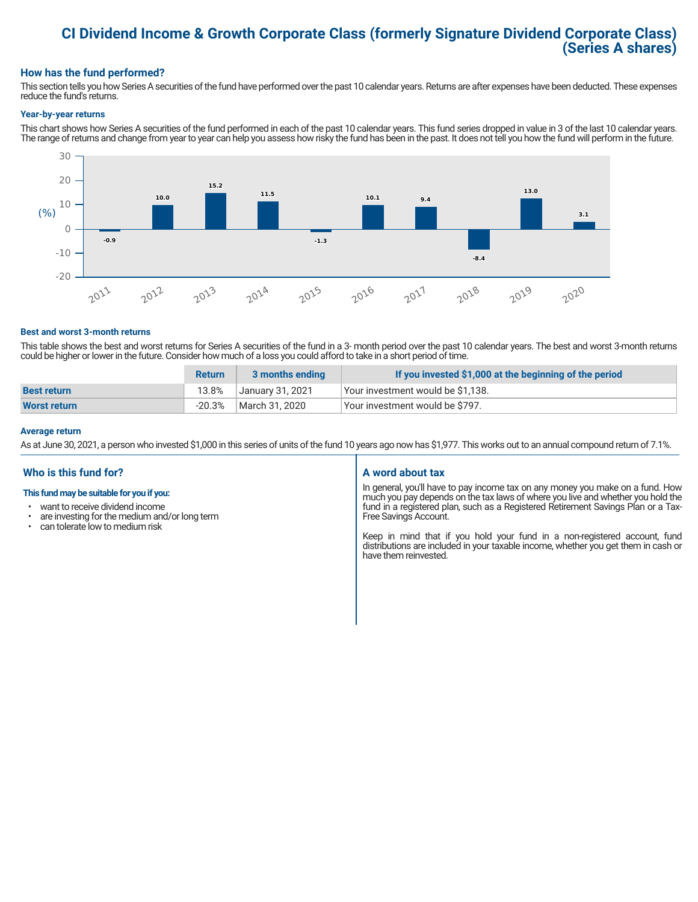# **CI Dividend Income & Growth Corporate Class (formerly Signature Dividend Corporate Class) (Series A shares)**

### **How has the fund performed?**

This section tells you how Series A securities of the fund have performed over the past 10 calendar years. Returns are after expenses have been deducted. These expenses reduce the fund's returns.

#### **Year-by-year returns**

This chart shows how Series A securities of the fund performed in each of the past 10 calendar years. This fund series dropped in value in 3 of the last 10 calendar years. The range of returns and change from year to year can help you assess how risky the fund has been in the past. It does not tell you how the fund will perform in the future.



#### **Best and worst 3-month returns**

This table shows the best and worst returns for Series A securities of the fund in a 3- month period over the past 10 calendar years. The best and worst 3-month returns could be higher or lower in the future. Consider how much of a loss you could afford to take in a short period of time.

|                    | <b>Return</b> | 3 months ending  | If you invested \$1,000 at the beginning of the period |
|--------------------|---------------|------------------|--------------------------------------------------------|
| <b>Best return</b> | 13.8%         | January 31, 2021 | Vour investment would be \$1,138.                      |
| Worst return       | $-20.3\%$     | March 31, 2020   | Your investment would be \$797.                        |

#### **Average return**

As at June 30, 2021, a person who invested \$1,000 in this series of units of the fund 10 years ago now has \$1,977. This works out to an annual compound return of 7.1%.

### **Who is this fund for?**

#### **This fund may be suitable for you if you:**

- want to receive dividend income
- $\cdot$  are investing for the medium and/or long term<br> $\cdot$  can telerate low to medium risk
- can tolerate low to medium risk

#### **A word about tax**

In general, you'll have to pay income tax on any money you make on a fund. How much you pay depends on the tax laws of where you live and whether you hold the fund in a registered plan, such as a Registered Retirement Savings Plan or a Tax-Free Savings Account.

Keep in mind that if you hold your fund in a non-registered account, fund distributions are included in your taxable income, whether you get them in cash or have them reinvested.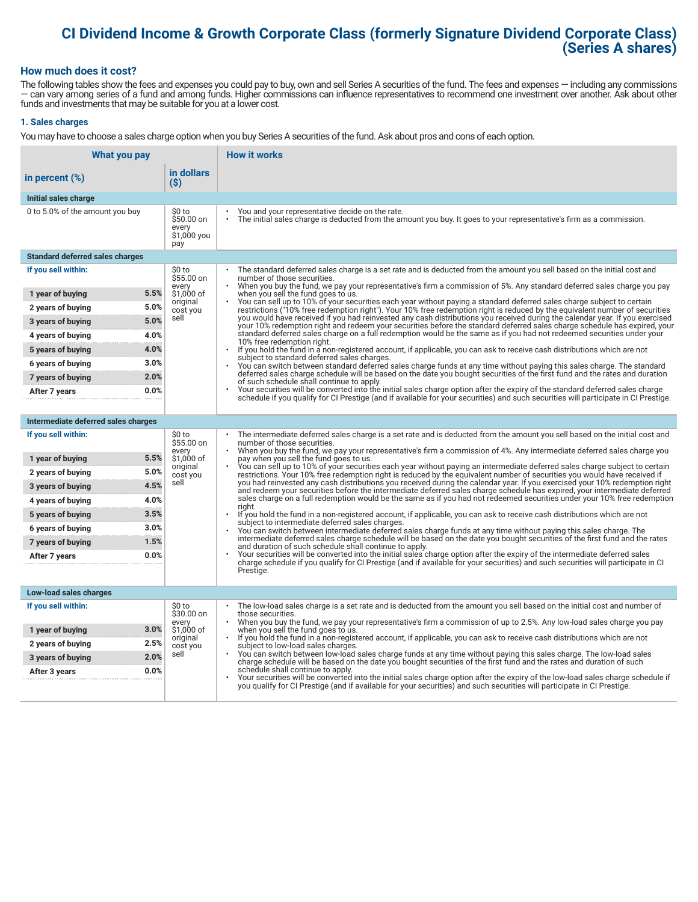# **CI Dividend Income & Growth Corporate Class (formerly Signature Dividend Corporate Class) (Series A shares)**

#### **How much does it cost?**

The following tables show the fees and expenses you could pay to buy, own and sell Series A securities of the fund. The fees and expenses — including any commissions — can vary among series of a fund and among funds. Higher commissions can influence representatives to recommend one investment over another. Ask about other funds and investments that may be suitable for you at a lower cost.

#### **1. Sales charges**

You may have to choose a sales charge option when you buy Series A securities of the fund. Ask about pros and cons of each option.

| What you pay                           |                                                      | <b>How it works</b>                                                                                                                                                                                                                                                                   |  |
|----------------------------------------|------------------------------------------------------|---------------------------------------------------------------------------------------------------------------------------------------------------------------------------------------------------------------------------------------------------------------------------------------|--|
| in percent $(\%)$                      | in dollars<br>$(\$)$                                 |                                                                                                                                                                                                                                                                                       |  |
| Initial sales charge                   |                                                      |                                                                                                                                                                                                                                                                                       |  |
| 0 to 5.0% of the amount you buy        | \$0 to<br>$$50.00$ on<br>every<br>\$1,000 you<br>pay | You and your representative decide on the rate.<br>The initial sales charge is deducted from the amount you buy. It goes to your representative's firm as a commission.                                                                                                               |  |
| <b>Standard deferred sales charges</b> |                                                      |                                                                                                                                                                                                                                                                                       |  |
| If you sell within:                    | \$0 to<br>\$55.00 on                                 | The standard deferred sales charge is a set rate and is deducted from the amount you sell based on the initial cost and<br>number of those securities.<br>When you buy the fund, we pay your representative's firm a commission of 5%. Any standard deferred sales charge you pay     |  |
| 1 year of buying                       | every<br>5.5%<br>\$1,000 of                          | when you sell the fund goes to us.                                                                                                                                                                                                                                                    |  |
| 2 years of buying                      | original<br>5.0%<br>cost you                         | You can sell up to 10% of your securities each year without paying a standard deferred sales charge subject to certain<br>restrictions ("10% free redemption right"). Your 10% free redemption right is reduced by the equivalent number of securities                                |  |
| 3 years of buying                      | sell<br>5.0%                                         | you would have received if you had reinvested any cash distributions you received during the calendar year. If you exercised<br>your 10% redemption right and redeem your securities before the standard deferred sales charge schedule has expired, your                             |  |
| 4 years of buying                      | 4.0%                                                 | standard deferred sales charge on a full redemption would be the same as if you had not redeemed securities under your<br>10% free redemption right.                                                                                                                                  |  |
| 5 years of buying                      | 4.0%                                                 | If you hold the fund in a non-registered account, if applicable, you can ask to receive cash distributions which are not<br>$\ddot{\phantom{0}}$<br>subject to standard deferred sales charges.                                                                                       |  |
| 6 years of buying                      | 3.0%                                                 | You can switch between standard deferred sales charge funds at any time without paying this sales charge. The standard                                                                                                                                                                |  |
| 7 years of buying                      | 2.0%                                                 | deferred sales charge schedule will be based on the date you bought securities of the first fund and the rates and duration<br>of such schedule shall continue to apply.                                                                                                              |  |
| After 7 years                          | 0.0%                                                 | Your securities will be converted into the initial sales charge option after the expiry of the standard deferred sales charge<br>schedule if you qualify for CI Prestige (and if available for your securities) and such securities will participate in CI Prestige.                  |  |
|                                        |                                                      |                                                                                                                                                                                                                                                                                       |  |
| Intermediate deferred sales charges    |                                                      |                                                                                                                                                                                                                                                                                       |  |
| If you sell within:                    | \$0 to<br>\$55.00 on<br>every                        | The intermediate deferred sales charge is a set rate and is deducted from the amount you sell based on the initial cost and<br>number of those securities.<br>When you buy the fund, we pay your representative's firm a commission of 4%. Any intermediate deferred sales charge you |  |
| 1 year of buying                       | 5.5%<br>\$1,000 of<br>original                       | pay when you sell the fund goes to us.<br>You can sell up to 10% of your securities each year without paying an intermediate deferred sales charge subject to certain                                                                                                                 |  |
| 2 years of buying                      | 5.0%<br>cost you                                     | restrictions. Your 10% free redemption right is reduced by the equivalent number of securities you would have received if                                                                                                                                                             |  |
| 3 years of buying                      | sell<br>4.5%                                         | you had reinvested any cash distributions you received during the calendar year. If you exercised your 10% redemption right<br>and redeem your securities before the intermediate deferred sales charge schedule has expired, your intermediate deferred                              |  |
| 4 years of buying                      | 4.0%                                                 | sales charge on a full redemption would be the same as if you had not redeemed securities under your 10% free redemption<br>riaht.                                                                                                                                                    |  |
| 5 years of buying                      | 3.5%                                                 | If you hold the fund in a non-registered account, if applicable, you can ask to receive cash distributions which are not<br>subject to intermediate deferred sales charges.                                                                                                           |  |
| 6 years of buying                      | 3.0%                                                 | You can switch between intermediate deferred sales charge funds at any time without paying this sales charge. The<br>intermediate deferred sales charge schedule will be based on the date you bought securities of the first fund and the rates                                      |  |
| 7 years of buying                      | 1.5%                                                 | and duration of such schedule shall continue to apply.<br>Your securities will be converted into the initial sales charge option after the expiry of the intermediate deferred sales                                                                                                  |  |
| After 7 years                          | 0.0%                                                 | charge schedule if you qualify for CI Prestige (and if available for your securities) and such securities will participate in CI                                                                                                                                                      |  |
|                                        |                                                      | Prestige.                                                                                                                                                                                                                                                                             |  |
| Low-load sales charges                 |                                                      |                                                                                                                                                                                                                                                                                       |  |
| If you sell within:                    | \$0 to<br>\$30.00 on                                 | The low-load sales charge is a set rate and is deducted from the amount you sell based on the initial cost and number of<br>those securities.                                                                                                                                         |  |
| 1 year of buying                       | every<br>3.0%<br>\$1,000 of                          | When you buy the fund, we pay your representative's firm a commission of up to 2.5%. Any low-load sales charge you pay<br>when you sell the fund goes to us.                                                                                                                          |  |
| 2 years of buying                      | original<br>2.5%<br>cost you                         | If you hold the fund in a non-registered account, if applicable, you can ask to receive cash distributions which are not<br>subject to low-load sales charges.                                                                                                                        |  |
| 3 years of buying                      | sell<br>2.0%                                         | You can switch between low-load sales charge funds at any time without paying this sales charge. The low-load sales<br>charge schedule will be based on the date you bought securities of the first fund and the rates and duration of such                                           |  |
| After 3 years                          | 0.0%                                                 | schedule shall continue to apply.<br>Your securities will be converted into the initial sales charge option after the expiry of the low-load sales charge schedule if                                                                                                                 |  |
|                                        |                                                      | you qualify for CI Prestige (and if available for your securities) and such securities will participate in CI Prestige.                                                                                                                                                               |  |